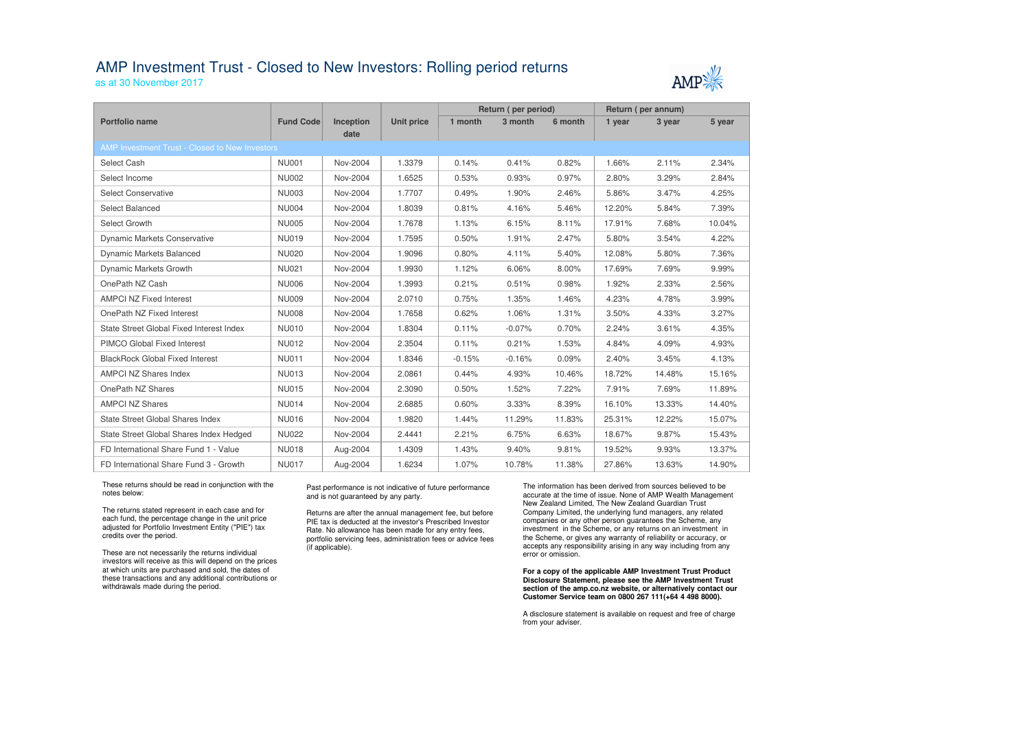## AMP Investment Trust - Closed to New Investors: Rolling period returns

as at 30 November 2017

|                                                |                  |                          |                   | Return (per period) |          |         | Return (per annum) |        |        |  |  |  |
|------------------------------------------------|------------------|--------------------------|-------------------|---------------------|----------|---------|--------------------|--------|--------|--|--|--|
| Portfolio name                                 | <b>Fund Code</b> | <b>Inception</b><br>date | <b>Unit price</b> | 1 month             | 3 month  | 6 month | 1 year             | 3 year | 5 year |  |  |  |
| AMP Investment Trust - Closed to New Investors |                  |                          |                   |                     |          |         |                    |        |        |  |  |  |
| Select Cash                                    | <b>NU001</b>     | Nov-2004                 | 1.3379            | 0.14%               | 0.41%    | 0.82%   | 1.66%              | 2.11%  | 2.34%  |  |  |  |
| Select Income                                  | <b>NU002</b>     | Nov-2004                 | 1.6525            | 0.53%               | 0.93%    | 0.97%   | 2.80%              | 3.29%  | 2.84%  |  |  |  |
| <b>Select Conservative</b>                     | <b>NU003</b>     | Nov-2004                 | 1.7707            | 0.49%               | 1.90%    | 2.46%   | 5.86%              | 3.47%  | 4.25%  |  |  |  |
| <b>Select Balanced</b>                         | <b>NU004</b>     | Nov-2004                 | 1.8039            | 0.81%               | 4.16%    | 5.46%   | 12.20%             | 5.84%  | 7.39%  |  |  |  |
| Select Growth                                  | <b>NU005</b>     | Nov-2004                 | 1.7678            | 1.13%               | 6.15%    | 8.11%   | 17.91%             | 7.68%  | 10.04% |  |  |  |
| <b>Dynamic Markets Conservative</b>            | <b>NU019</b>     | Nov-2004                 | 1.7595            | 0.50%               | 1.91%    | 2.47%   | 5.80%              | 3.54%  | 4.22%  |  |  |  |
| Dynamic Markets Balanced                       | <b>NU020</b>     | Nov-2004                 | 1.9096            | 0.80%               | 4.11%    | 5.40%   | 12.08%             | 5.80%  | 7.36%  |  |  |  |
| Dynamic Markets Growth                         | <b>NU021</b>     | Nov-2004                 | 1.9930            | 1.12%               | 6.06%    | 8.00%   | 17.69%             | 7.69%  | 9.99%  |  |  |  |
| OnePath NZ Cash                                | <b>NU006</b>     | Nov-2004                 | 1.3993            | 0.21%               | 0.51%    | 0.98%   | 1.92%              | 2.33%  | 2.56%  |  |  |  |
| <b>AMPCI NZ Fixed Interest</b>                 | <b>NU009</b>     | Nov-2004                 | 2.0710            | 0.75%               | 1.35%    | 1.46%   | 4.23%              | 4.78%  | 3.99%  |  |  |  |
| OnePath NZ Fixed Interest                      | <b>NU008</b>     | Nov-2004                 | 1.7658            | 0.62%               | 1.06%    | 1.31%   | 3.50%              | 4.33%  | 3.27%  |  |  |  |
| State Street Global Fixed Interest Index       | <b>NU010</b>     | Nov-2004                 | 1.8304            | 0.11%               | $-0.07%$ | 0.70%   | 2.24%              | 3.61%  | 4.35%  |  |  |  |
| PIMCO Global Fixed Interest                    | <b>NU012</b>     | Nov-2004                 | 2.3504            | 0.11%               | 0.21%    | 1.53%   | 4.84%              | 4.09%  | 4.93%  |  |  |  |
| <b>BlackRock Global Fixed Interest</b>         | <b>NU011</b>     | Nov-2004                 | 1.8346            | $-0.15%$            | $-0.16%$ | 0.09%   | 2.40%              | 3.45%  | 4.13%  |  |  |  |
| <b>AMPCI NZ Shares Index</b>                   | <b>NU013</b>     | Nov-2004                 | 2.0861            | 0.44%               | 4.93%    | 10.46%  | 18.72%             | 14.48% | 15.16% |  |  |  |
| OnePath NZ Shares                              | <b>NU015</b>     | Nov-2004                 | 2.3090            | 0.50%               | 1.52%    | 7.22%   | 7.91%              | 7.69%  | 11.89% |  |  |  |
| <b>AMPCI NZ Shares</b>                         | <b>NU014</b>     | Nov-2004                 | 2.6885            | 0.60%               | 3.33%    | 8.39%   | 16.10%             | 13.33% | 14.40% |  |  |  |
| <b>State Street Global Shares Index</b>        | <b>NU016</b>     | Nov-2004                 | 1.9820            | 1.44%               | 11.29%   | 11.83%  | 25.31%             | 12.22% | 15.07% |  |  |  |
| State Street Global Shares Index Hedged        | <b>NU022</b>     | Nov-2004                 | 2.4441            | 2.21%               | 6.75%    | 6.63%   | 18.67%             | 9.87%  | 15.43% |  |  |  |
| FD International Share Fund 1 - Value          | <b>NU018</b>     | Aug-2004                 | 1.4309            | 1.43%               | 9.40%    | 9.81%   | 19.52%             | 9.93%  | 13.37% |  |  |  |
| FD International Share Fund 3 - Growth         | <b>NU017</b>     | Aug-2004                 | 1.6234            | 1.07%               | 10.78%   | 11.38%  | 27.86%             | 13.63% | 14.90% |  |  |  |

These returns should be read in conjunction with the notes below:

The returns stated represent in each case and for each fund, the percentage change in the unit price adjusted for Portfolio Investment Entity ("PIE") tax credits over the period.

These are not necessarily the returns individual investors will receive as this will depend on the prices at which units are purchased and sold, the dates of these transactions and any additional contributions or withdrawals made during the period.

### Past performance is not indicative of future performance and is not guaranteed by any party.

Returns are after the annual management fee, but before PIE tax is deducted at the investor's Prescribed Investor Rate. No allowance has been made for any entry fees, portfolio servicing fees, administration fees or advice fees (if applicable).

The information has been derived from sources believed to be accurate at the time of issue. None of AMP Wealth Management New Zealand Limited, The New Zealand Guardian Trust Company Limited, the underlying fund managers, any related companies or any other person guarantees the Scheme, any investment in the Scheme, or any returns on an investment in the Scheme, or gives any warranty of reliability or accuracy, or accepts any responsibility arising in any way including from any error or omission.

### **For a copy of the applicable AMP Investment Trust Product Disclosure Statement, please see the AMP Investment Trust section of the amp.co.nz website, or alternatively contact our Customer Service team on 0800 267 111(+64 4 498 8000).**

A disclosure statement is available on request and free of charge from your adviser.